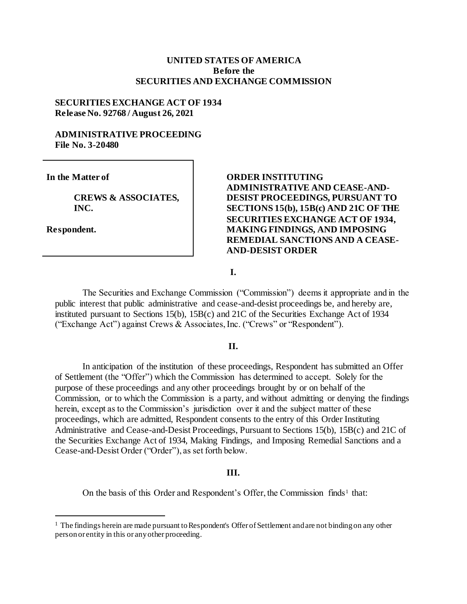#### **UNITED STATES OF AMERICA Before the SECURITIES AND EXCHANGE COMMISSION**

#### **SECURITIES EXCHANGE ACT OF 1934 Release No. 92768 / August 26, 2021**

### **ADMINISTRATIVE PROCEEDING File No. 3-20480**

**In the Matter of**

**CREWS & ASSOCIATES, INC.** 

**Respondent.**

l

### **ORDER INSTITUTING ADMINISTRATIVE AND CEASE-AND-DESIST PROCEEDINGS, PURSUANT TO SECTIONS 15(b), 15B(c) AND 21C OF THE SECURITIES EXCHANGE ACT OF 1934, MAKING FINDINGS, AND IMPOSING REMEDIAL SANCTIONS AND A CEASE-AND-DESIST ORDER**

**I.**

The Securities and Exchange Commission ("Commission") deems it appropriate and in the public interest that public administrative and cease-and-desist proceedings be, and hereby are, instituted pursuant to Sections 15(b), 15B(c) and 21C of the Securities Exchange Act of 1934 ("Exchange Act") against Crews & Associates, Inc. ("Crews" or "Respondent").

#### **II.**

In anticipation of the institution of these proceedings, Respondent has submitted an Offer of Settlement (the "Offer") which the Commission has determined to accept. Solely for the purpose of these proceedings and any other proceedings brought by or on behalf of the Commission, or to which the Commission is a party, and without admitting or denying the findings herein, except as to the Commission's jurisdiction over it and the subject matter of these proceedings, which are admitted, Respondent consents to the entry of this Order Instituting Administrative and Cease-and-Desist Proceedings, Pursuant to Sections 15(b), 15B(c) and 21C of the Securities Exchange Act of 1934, Making Findings, and Imposing Remedial Sanctions and a Cease-and-Desist Order ("Order"), as set forth below.

#### **III.**

On the basis of this Order and Respondent's Offer, the Commission finds<sup>1</sup> that:

 $<sup>1</sup>$  The findings herein are made pursuant to Respondent's Offer of Settlement and are not binding on any other</sup> person or entity in this or any other proceeding.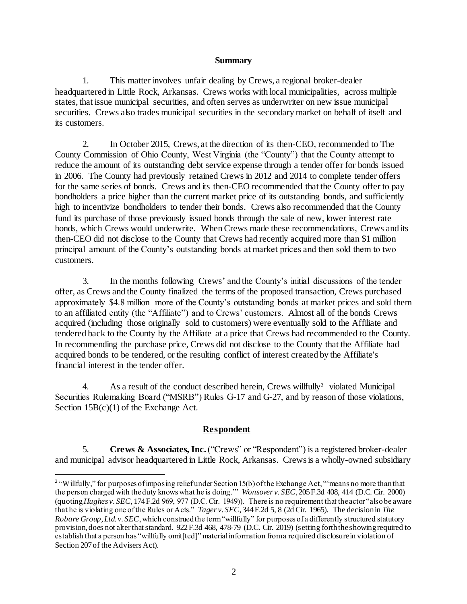### **Summary**

1. This matter involves unfair dealing by Crews, a regional broker-dealer headquartered in Little Rock, Arkansas. Crews works with local municipalities, across multiple states, that issue municipal securities, and often serves as underwriter on new issue municipal securities. Crews also trades municipal securities in the secondary market on behalf of itself and its customers.

2. In October 2015, Crews, at the direction of its then-CEO, recommended to The County Commission of Ohio County, West Virginia (the "County") that the County attempt to reduce the amount of its outstanding debt service expense through a tender offer for bonds issued in 2006. The County had previously retained Crews in 2012 and 2014 to complete tender offers for the same series of bonds. Crews and its then-CEO recommended that the County offer to pay bondholders a price higher than the current market price of its outstanding bonds, and sufficiently high to incentivize bondholders to tender their bonds. Crews also recommended that the County fund its purchase of those previously issued bonds through the sale of new, lower interest rate bonds, which Crews would underwrite. When Crews made these recommendations, Crews and its then-CEO did not disclose to the County that Crews had recently acquired more than \$1 million principal amount of the County's outstanding bonds at market prices and then sold them to two customers.

3. In the months following Crews' and the County's initial discussions of the tender offer, as Crews and the County finalized the terms of the proposed transaction, Crews purchased approximately \$4.8 million more of the County's outstanding bonds at market prices and sold them to an affiliated entity (the "Affiliate") and to Crews' customers. Almost all of the bonds Crews acquired (including those originally sold to customers) were eventually sold to the Affiliate and tendered back to the County by the Affiliate at a price that Crews had recommended to the County. In recommending the purchase price, Crews did not disclose to the County that the Affiliate had acquired bonds to be tendered, or the resulting conflict of interest created by the Affiliate's financial interest in the tender offer.

4. As a result of the conduct described herein, Crews willfully<sup>2</sup> violated Municipal Securities Rulemaking Board ("MSRB") Rules G-17 and G-27, and by reason of those violations, Section 15B(c)(1) of the Exchange Act.

### **Respondent**

5. **Crews & Associates, Inc.**("Crews" or "Respondent") is a registered broker-dealer and municipal advisor headquartered in Little Rock, Arkansas. Crews is a wholly-owned subsidiary

 2 "Willfully," for purposes of imposing relief under Section 15(b) of the Exchange Act, "'means no more than that the person charged with the duty knows what he is doing.'" *Wonsover v. SEC*, 205 F.3d 408, 414 (D.C. Cir. 2000) (quoting *Hughes v. SEC*, 174 F.2d 969, 977 (D.C. Cir. 1949)). There is no requirement that the actor "also be aware that he is violating one of the Rules or Acts." *Tager v. SEC*, 344 F.2d 5, 8 (2d Cir. 1965). The decision in *The Robare Group, Ltd. v. SEC*, which construed the term "willfully" for purposes of a differently structured statutory provision, does not alter that standard. 922 F.3d 468, 478-79 (D.C. Cir. 2019) (setting forth the showing required to establish that a person has "willfully omit[ted]" material information from a required disclosure in violation of Section 207 of the Advisers Act).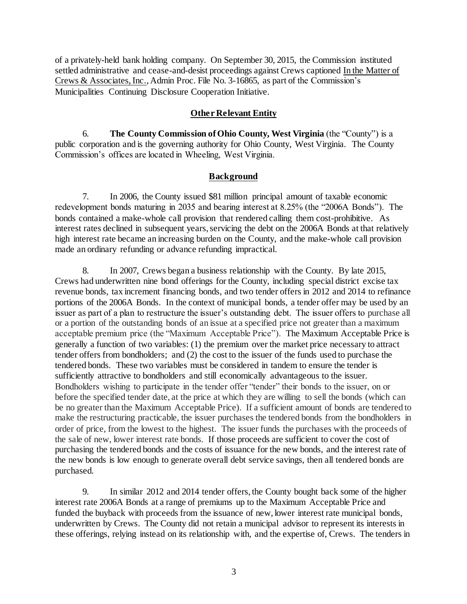of a privately-held bank holding company. On September 30, 2015, the Commission instituted settled administrative and cease-and-desist proceedings against Crews captioned In the Matter of Crews & Associates, Inc., Admin Proc. File No. 3-16865, as part of the Commission's Municipalities Continuing Disclosure Cooperation Initiative.

### **Other Relevant Entity**

6. **The County Commission of Ohio County, West Virginia** (the "County") is a public corporation and is the governing authority for Ohio County, West Virginia. The County Commission's offices are located in Wheeling, West Virginia.

### **Background**

7. In 2006, the County issued \$81 million principal amount of taxable economic redevelopment bonds maturing in 2035 and bearing interest at 8.25% (the "2006A Bonds"). The bonds contained a make-whole call provision that rendered calling them cost-prohibitive. As interest rates declined in subsequent years, servicing the debt on the 2006A Bonds at that relatively high interest rate became an increasing burden on the County, and the make-whole call provision made an ordinary refunding or advance refunding impractical.

8. In 2007, Crews began a business relationship with the County. By late 2015, Crews had underwritten nine bond offerings for the County, including special district excise tax revenue bonds, tax increment financing bonds, and two tender offers in 2012 and 2014 to refinance portions of the 2006A Bonds. In the context of municipal bonds, a tender offer may be used by an issuer as part of a plan to restructure the issuer's outstanding debt. The issuer offers to purchase all or a portion of the outstanding bonds of an issue at a specified price not greater than a maximum acceptable premium price (the "Maximum Acceptable Price"). The Maximum Acceptable Price is generally a function of two variables: (1) the premium over the market price necessary to attract tender offers from bondholders; and (2) the cost to the issuer of the funds used to purchase the tendered bonds. These two variables must be considered in tandem to ensure the tender is sufficiently attractive to bondholders and still economically advantageous to the issuer. Bondholders wishing to participate in the tender offer "tender" their bonds to the issuer, on or before the specified tender date, at the price at which they are willing to sell the bonds (which can be no greater than the Maximum Acceptable Price). If a sufficient amount of bonds are tendered to make the restructuring practicable, the issuer purchases the tendered bonds from the bondholders in order of price, from the lowest to the highest. The issuer funds the purchases with the proceeds of the sale of new, lower interest rate bonds. If those proceeds are sufficient to cover the cost of purchasing the tendered bonds and the costs of issuance for the new bonds, and the interest rate of the new bonds is low enough to generate overall debt service savings, then all tendered bonds are purchased.

9. In similar 2012 and 2014 tender offers, the County bought back some of the higher interest rate 2006A Bonds at a range of premiums up to the Maximum Acceptable Price and funded the buyback with proceeds from the issuance of new, lower interest rate municipal bonds, underwritten by Crews. The County did not retain a municipal advisor to represent its interests in these offerings, relying instead on its relationship with, and the expertise of, Crews. The tenders in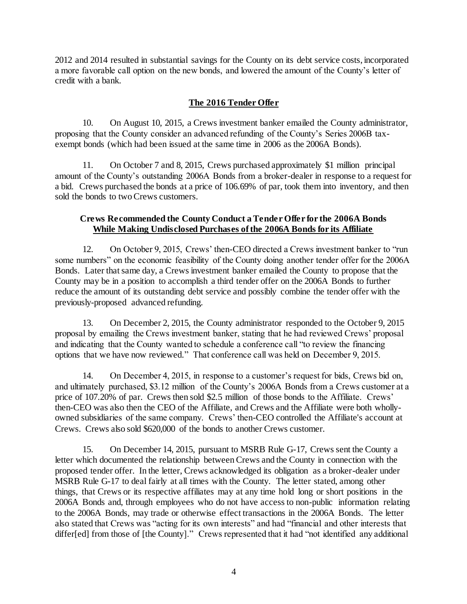2012 and 2014 resulted in substantial savings for the County on its debt service costs, incorporated a more favorable call option on the new bonds, and lowered the amount of the County's letter of credit with a bank.

# **The 2016 Tender Offer**

10. On August 10, 2015, a Crews investment banker emailed the County administrator, proposing that the County consider an advanced refunding of the County's Series 2006B taxexempt bonds (which had been issued at the same time in 2006 as the 2006A Bonds).

11. On October 7 and 8, 2015, Crews purchased approximately \$1 million principal amount of the County's outstanding 2006A Bonds from a broker-dealer in response to a request for a bid. Crews purchased the bonds at a price of 106.69% of par, took them into inventory, and then sold the bonds to two Crews customers.

## **Crews Recommended the County Conduct a Tender Offer for the 2006A Bonds While Making Undisclosed Purchases of the 2006A Bonds for its Affiliate**

12. On October 9, 2015, Crews' then-CEO directed a Crews investment banker to "run some numbers" on the economic feasibility of the County doing another tender offer for the 2006A Bonds. Later that same day, a Crews investment banker emailed the County to propose that the County may be in a position to accomplish a third tender offer on the 2006A Bonds to further reduce the amount of its outstanding debt service and possibly combine the tender offer with the previously-proposed advanced refunding.

13. On December 2, 2015, the County administrator responded to the October 9, 2015 proposal by emailing the Crews investment banker, stating that he had reviewed Crews' proposal and indicating that the County wanted to schedule a conference call "to review the financing options that we have now reviewed." That conference call was held on December 9, 2015.

14. On December 4, 2015, in response to a customer's request for bids, Crews bid on, and ultimately purchased, \$3.12 million of the County's 2006A Bonds from a Crews customer at a price of 107.20% of par. Crews then sold \$2.5 million of those bonds to the Affiliate. Crews' then-CEO was also then the CEO of the Affiliate, and Crews and the Affiliate were both whollyowned subsidiaries of the same company. Crews' then-CEO controlled the Affiliate's account at Crews. Crews also sold \$620,000 of the bonds to another Crews customer.

15. On December 14, 2015, pursuant to MSRB Rule G-17, Crews sent the County a letter which documented the relationship between Crews and the County in connection with the proposed tender offer. In the letter, Crews acknowledged its obligation as a broker-dealer under MSRB Rule G-17 to deal fairly at all times with the County. The letter stated, among other things, that Crews or its respective affiliates may at any time hold long or short positions in the 2006A Bonds and, through employees who do not have access to non-public information relating to the 2006A Bonds, may trade or otherwise effect transactions in the 2006A Bonds. The letter also stated that Crews was "acting for its own interests" and had "financial and other interests that differ[ed] from those of [the County]." Crews represented that it had "not identified any additional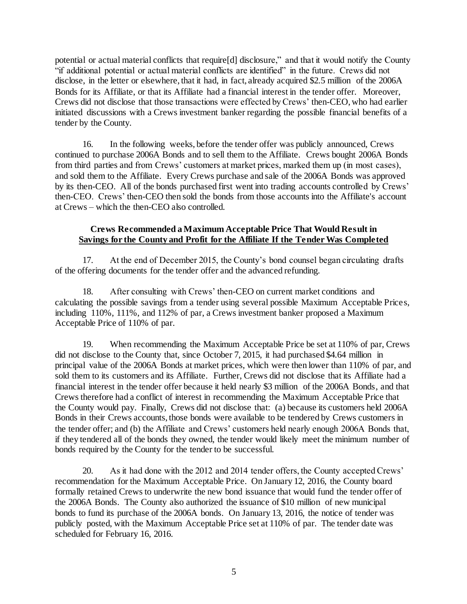potential or actual material conflicts that require[d] disclosure," and that it would notify the County "if additional potential or actual material conflicts are identified" in the future. Crews did not disclose, in the letter or elsewhere, that it had, in fact, already acquired \$2.5 million of the 2006A Bonds for its Affiliate, or that its Affiliate had a financial interest in the tender offer. Moreover, Crews did not disclose that those transactions were effected by Crews' then-CEO, who had earlier initiated discussions with a Crews investment banker regarding the possible financial benefits of a tender by the County.

16. In the following weeks, before the tender offer was publicly announced, Crews continued to purchase 2006A Bonds and to sell them to the Affiliate. Crews bought 2006A Bonds from third parties and from Crews' customers at market prices, marked them up (in most cases), and sold them to the Affiliate. Every Crews purchase and sale of the 2006A Bonds was approved by its then-CEO. All of the bonds purchased first went into trading accounts controlled by Crews' then-CEO. Crews' then-CEO then sold the bonds from those accounts into the Affiliate's account at Crews – which the then-CEO also controlled.

### **Crews Recommended a Maximum Acceptable Price That Would Result in Savings for the County and Profit for the Affiliate If the Tender Was Completed**

17. At the end of December 2015, the County's bond counsel began circulating drafts of the offering documents for the tender offer and the advanced refunding.

18. After consulting with Crews' then-CEO on current market conditions and calculating the possible savings from a tender using several possible Maximum Acceptable Prices, including 110%, 111%, and 112% of par, a Crews investment banker proposed a Maximum Acceptable Price of 110% of par.

19. When recommending the Maximum Acceptable Price be set at 110% of par, Crews did not disclose to the County that, since October 7, 2015, it had purchased \$4.64 million in principal value of the 2006A Bonds at market prices, which were then lower than 110% of par, and sold them to its customers and its Affiliate. Further, Crews did not disclose that its Affiliate had a financial interest in the tender offer because it held nearly \$3 million of the 2006A Bonds, and that Crews therefore had a conflict of interest in recommending the Maximum Acceptable Price that the County would pay. Finally, Crews did not disclose that: (a) because its customers held 2006A Bonds in their Crews accounts, those bonds were available to be tendered by Crews customers in the tender offer; and (b) the Affiliate and Crews' customers held nearly enough 2006A Bonds that, if they tendered all of the bonds they owned, the tender would likely meet the minimum number of bonds required by the County for the tender to be successful.

20. As it had done with the 2012 and 2014 tender offers, the County accepted Crews' recommendation for the Maximum Acceptable Price. On January 12, 2016, the County board formally retained Crews to underwrite the new bond issuance that would fund the tender offer of the 2006A Bonds. The County also authorized the issuance of \$10 million of new municipal bonds to fund its purchase of the 2006A bonds. On January 13, 2016, the notice of tender was publicly posted, with the Maximum Acceptable Price set at 110% of par. The tender date was scheduled for February 16, 2016.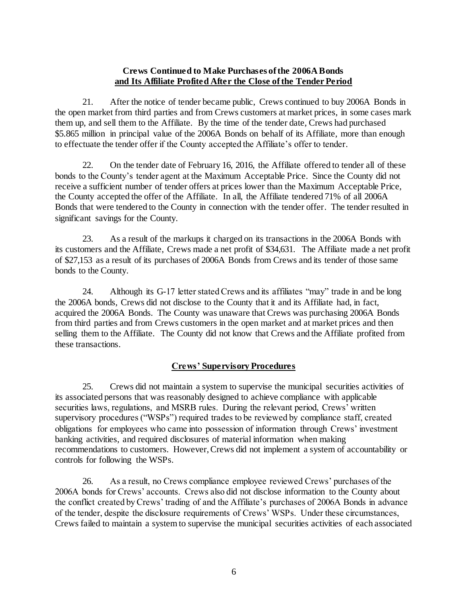### **Crews Continued to Make Purchases of the 2006A Bonds and Its Affiliate Profited After the Close of the Tender Period**

21. After the notice of tender became public, Crews continued to buy 2006A Bonds in the open market from third parties and from Crews customers at market prices, in some cases mark them up, and sell them to the Affiliate. By the time of the tender date, Crews had purchased \$5.865 million in principal value of the 2006A Bonds on behalf of its Affiliate, more than enough to effectuate the tender offer if the County accepted the Affiliate's offer to tender.

22. On the tender date of February 16, 2016, the Affiliate offered to tender all of these bonds to the County's tender agent at the Maximum Acceptable Price. Since the County did not receive a sufficient number of tender offers at prices lower than the Maximum Acceptable Price, the County accepted the offer of the Affiliate. In all, the Affiliate tendered 71% of all 2006A Bonds that were tendered to the County in connection with the tender offer. The tender resulted in significant savings for the County.

23. As a result of the markups it charged on its transactions in the 2006A Bonds with its customers and the Affiliate, Crews made a net profit of \$34,631. The Affiliate made a net profit of \$27,153 as a result of its purchases of 2006A Bonds from Crews and its tender of those same bonds to the County.

24. Although its G-17 letter stated Crews and its affiliates "may" trade in and be long the 2006A bonds, Crews did not disclose to the County that it and its Affiliate had, in fact, acquired the 2006A Bonds. The County was unaware that Crews was purchasing 2006A Bonds from third parties and from Crews customers in the open market and at market prices and then selling them to the Affiliate. The County did not know that Crews and the Affiliate profited from these transactions.

# **Crews' Supervisory Procedures**

25. Crews did not maintain a system to supervise the municipal securities activities of its associated persons that was reasonably designed to achieve compliance with applicable securities laws, regulations, and MSRB rules. During the relevant period, Crews' written supervisory procedures ("WSPs") required trades to be reviewed by compliance staff, created obligations for employees who came into possession of information through Crews' investment banking activities, and required disclosures of material information when making recommendations to customers. However, Crews did not implement a system of accountability or controls for following the WSPs.

26. As a result, no Crews compliance employee reviewed Crews' purchases of the 2006A bonds for Crews' accounts. Crews also did not disclose information to the County about the conflict created by Crews' trading of and the Affiliate's purchases of 2006A Bonds in advance of the tender, despite the disclosure requirements of Crews' WSPs. Under these circumstances, Crews failed to maintain a system to supervise the municipal securities activities of each associated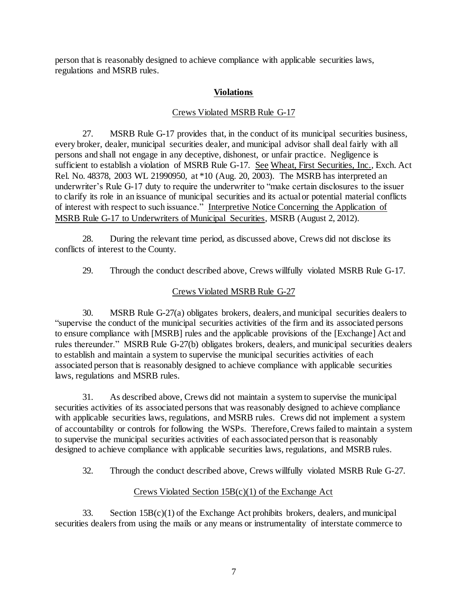person that is reasonably designed to achieve compliance with applicable securities laws, regulations and MSRB rules.

# **Violations**

### Crews Violated MSRB Rule G-17

27. MSRB Rule G-17 provides that, in the conduct of its municipal securities business, every broker, dealer, municipal securities dealer, and municipal advisor shall deal fairly with all persons and shall not engage in any deceptive, dishonest, or unfair practice. Negligence is sufficient to establish a violation of MSRB Rule G-17. See Wheat, First Securities, Inc.*,* Exch. Act Rel. No. 48378, 2003 WL 21990950, at \*10 (Aug. 20, 2003). The MSRB has interpreted an underwriter's Rule G-17 duty to require the underwriter to "make certain disclosures to the issuer to clarify its role in an issuance of municipal securities and its actual or potential material conflicts of interest with respect to such issuance." Interpretive Notice Concerning the Application of MSRB Rule G-17 to Underwriters of Municipal Securities, MSRB (August 2, 2012).

28. During the relevant time period, as discussed above, Crews did not disclose its conflicts of interest to the County.

29. Through the conduct described above, Crews willfully violated MSRB Rule G-17.

## Crews Violated MSRB Rule G-27

30. MSRB Rule G-27(a) obligates brokers, dealers, and municipal securities dealers to "supervise the conduct of the municipal securities activities of the firm and its associated persons to ensure compliance with [MSRB] rules and the applicable provisions of the [Exchange] Act and rules thereunder." MSRB Rule G-27(b) obligates brokers, dealers, and municipal securities dealers to establish and maintain a system to supervise the municipal securities activities of each associated person that is reasonably designed to achieve compliance with applicable securities laws, regulations and MSRB rules.

31. As described above, Crews did not maintain a system to supervise the municipal securities activities of its associated persons that was reasonably designed to achieve compliance with applicable securities laws, regulations, and MSRB rules. Crews did not implement a system of accountability or controls for following the WSPs. Therefore, Crews failed to maintain a system to supervise the municipal securities activities of each associated person that is reasonably designed to achieve compliance with applicable securities laws, regulations, and MSRB rules.

32. Through the conduct described above, Crews willfully violated MSRB Rule G-27.

# Crews Violated Section 15B(c)(1) of the Exchange Act

33. Section  $15B(c)(1)$  of the Exchange Act prohibits brokers, dealers, and municipal securities dealers from using the mails or any means or instrumentality of interstate commerce to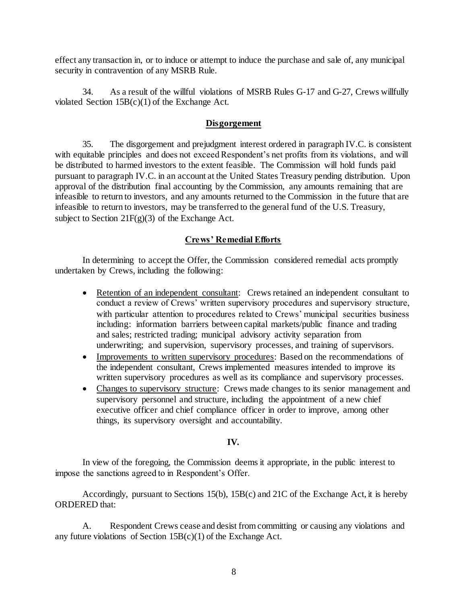effect any transaction in, or to induce or attempt to induce the purchase and sale of, any municipal security in contravention of any MSRB Rule.

34. As a result of the willful violations of MSRB Rules G-17 and G-27, Crews willfully violated Section 15B(c)(1) of the Exchange Act.

### **Disgorgement**

35. The disgorgement and prejudgment interest ordered in paragraph IV.C. is consistent with equitable principles and does not exceed Respondent's net profits from its violations, and will be distributed to harmed investors to the extent feasible. The Commission will hold funds paid pursuant to paragraph IV.C. in an account at the United States Treasury pending distribution. Upon approval of the distribution final accounting by the Commission, any amounts remaining that are infeasible to return to investors, and any amounts returned to the Commission in the future that are infeasible to return to investors, may be transferred to the general fund of the U.S. Treasury, subject to Section  $21F(g)(3)$  of the Exchange Act.

### **Crews' Remedial Efforts**

In determining to accept the Offer, the Commission considered remedial acts promptly undertaken by Crews, including the following:

- Retention of an independent consultant: Crews retained an independent consultant to conduct a review of Crews' written supervisory procedures and supervisory structure, with particular attention to procedures related to Crews' municipal securities business including: information barriers between capital markets/public finance and trading and sales; restricted trading; municipal advisory activity separation from underwriting; and supervision, supervisory processes, and training of supervisors.
- Improvements to written supervisory procedures: Based on the recommendations of the independent consultant, Crews implemented measures intended to improve its written supervisory procedures as well as its compliance and supervisory processes.
- Changes to supervisory structure: Crews made changes to its senior management and supervisory personnel and structure, including the appointment of a new chief executive officer and chief compliance officer in order to improve, among other things, its supervisory oversight and accountability.

### **IV.**

In view of the foregoing, the Commission deems it appropriate, in the public interest to impose the sanctions agreed to in Respondent's Offer.

Accordingly, pursuant to Sections 15(b), 15B(c) and 21C of the Exchange Act, it is hereby ORDERED that:

A. Respondent Crews cease and desist from committing or causing any violations and any future violations of Section  $15B(c)(1)$  of the Exchange Act.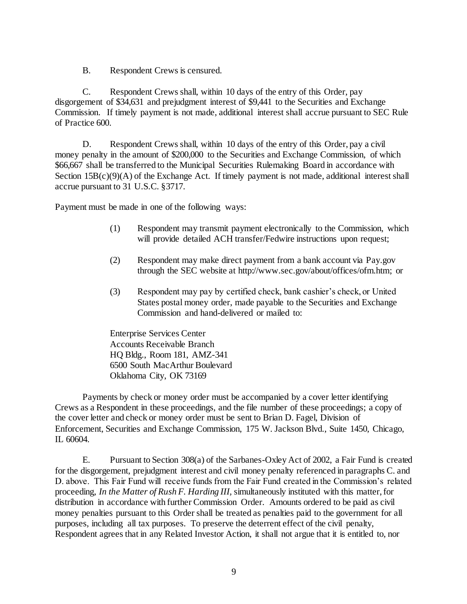B. Respondent Crews is censured.

C. Respondent Crews shall, within 10 days of the entry of this Order, pay disgorgement of \$34,631 and prejudgment interest of \$9,441 to the Securities and Exchange Commission. If timely payment is not made, additional interest shall accrue pursuant to SEC Rule of Practice 600.

D. Respondent Crews shall, within 10 days of the entry of this Order, pay a civil money penalty in the amount of \$200,000 to the Securities and Exchange Commission, of which \$66,667 shall be transferred to the Municipal Securities Rulemaking Board in accordance with Section  $15B(c)(9)(A)$  of the Exchange Act. If timely payment is not made, additional interest shall accrue pursuant to 31 U.S.C. §3717.

Payment must be made in one of the following ways:

- (1) Respondent may transmit payment electronically to the Commission, which will provide detailed ACH transfer/Fedwire instructions upon request;
- (2) Respondent may make direct payment from a bank account via Pay.gov through the SEC website a[t http://www.sec.gov/about/offices/ofm.htm;](http://www.sec.gov/about/offices/ofm.htm) or
- (3) Respondent may pay by certified check, bank cashier's check, or United States postal money order, made payable to the Securities and Exchange Commission and hand-delivered or mailed to:

Enterprise Services Center Accounts Receivable Branch HQ Bldg., Room 181, AMZ-341 6500 South MacArthur Boulevard Oklahoma City, OK 73169

Payments by check or money order must be accompanied by a cover letter identifying Crews as a Respondent in these proceedings, and the file number of these proceedings; a copy of the cover letter and check or money order must be sent to Brian D. Fagel, Division of Enforcement, Securities and Exchange Commission, 175 W. Jackson Blvd., Suite 1450, Chicago, IL 60604.

E. Pursuant to Section 308(a) of the Sarbanes-Oxley Act of 2002, a Fair Fund is created for the disgorgement, prejudgment interest and civil money penalty referenced in paragraphs C. and D. above. This Fair Fund will receive funds from the Fair Fund created in the Commission's related proceeding, *In the Matter of Rush F. Harding III,* simultaneously instituted with this matter, for distribution in accordance with further Commission Order. Amounts ordered to be paid as civil money penalties pursuant to this Order shall be treated as penalties paid to the government for all purposes, including all tax purposes. To preserve the deterrent effect of the civil penalty, Respondent agrees that in any Related Investor Action, it shall not argue that it is entitled to, nor